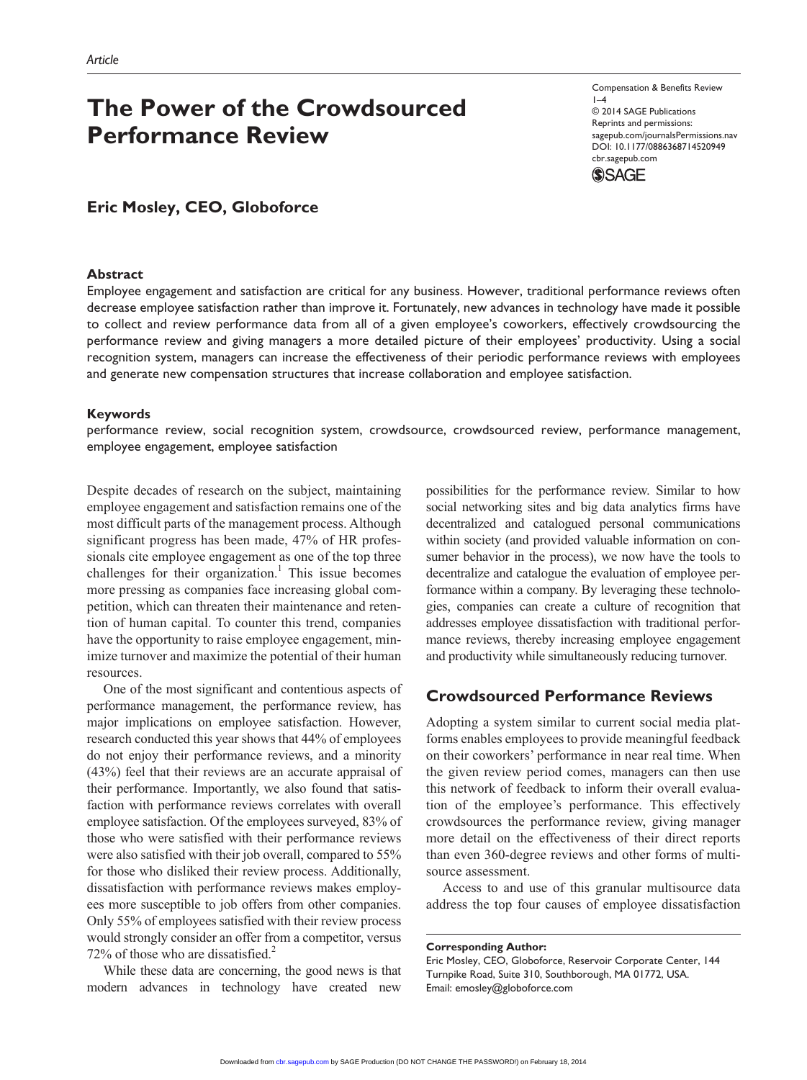# **The Power of the Crowdsourced Performance Review**

Compensation & Benefits Review  $1-4$ © 2014 SAGE Publications Reprints and permissions: sagepub.com/journalsPermissions.nav DOI: 10.1177/0886368714520949 cbr.sagepub.com **SSAGE** 

## **Eric Mosley, CEO, Globoforce**

## **Abstract**

Employee engagement and satisfaction are critical for any business. However, traditional performance reviews often decrease employee satisfaction rather than improve it. Fortunately, new advances in technology have made it possible to collect and review performance data from all of a given employee's coworkers, effectively crowdsourcing the performance review and giving managers a more detailed picture of their employees' productivity. Using a social recognition system, managers can increase the effectiveness of their periodic performance reviews with employees and generate new compensation structures that increase collaboration and employee satisfaction.

#### **Keywords**

performance review, social recognition system, crowdsource, crowdsourced review, performance management, employee engagement, employee satisfaction

Despite decades of research on the subject, maintaining employee engagement and satisfaction remains one of the most difficult parts of the management process. Although significant progress has been made, 47% of HR professionals cite employee engagement as one of the top three challenges for their organization.<sup>1</sup> This issue becomes more pressing as companies face increasing global competition, which can threaten their maintenance and retention of human capital. To counter this trend, companies have the opportunity to raise employee engagement, minimize turnover and maximize the potential of their human resources.

One of the most significant and contentious aspects of performance management, the performance review, has major implications on employee satisfaction. However, research conducted this year shows that 44% of employees do not enjoy their performance reviews, and a minority (43%) feel that their reviews are an accurate appraisal of their performance. Importantly, we also found that satisfaction with performance reviews correlates with overall employee satisfaction. Of the employees surveyed, 83% of those who were satisfied with their performance reviews were also satisfied with their job overall, compared to 55% for those who disliked their review process. Additionally, dissatisfaction with performance reviews makes employees more susceptible to job offers from other companies. Only 55% of employees satisfied with their review process would strongly consider an offer from a competitor, versus 72% of those who are dissatisfied.<sup>2</sup>

While these data are concerning, the good news is that modern advances in technology have created new possibilities for the performance review. Similar to how social networking sites and big data analytics firms have decentralized and catalogued personal communications within society (and provided valuable information on consumer behavior in the process), we now have the tools to decentralize and catalogue the evaluation of employee performance within a company. By leveraging these technologies, companies can create a culture of recognition that addresses employee dissatisfaction with traditional performance reviews, thereby increasing employee engagement and productivity while simultaneously reducing turnover.

## **Crowdsourced Performance Reviews**

Adopting a system similar to current social media platforms enables employees to provide meaningful feedback on their coworkers' performance in near real time. When the given review period comes, managers can then use this network of feedback to inform their overall evaluation of the employee's performance. This effectively crowdsources the performance review, giving manager more detail on the effectiveness of their direct reports than even 360-degree reviews and other forms of multisource assessment.

Access to and use of this granular multisource data address the top four causes of employee dissatisfaction

**Corresponding Author:**

Eric Mosley, CEO, Globoforce, Reservoir Corporate Center, 144 Turnpike Road, Suite 310, Southborough, MA 01772, USA. Email: emosley@globoforce.com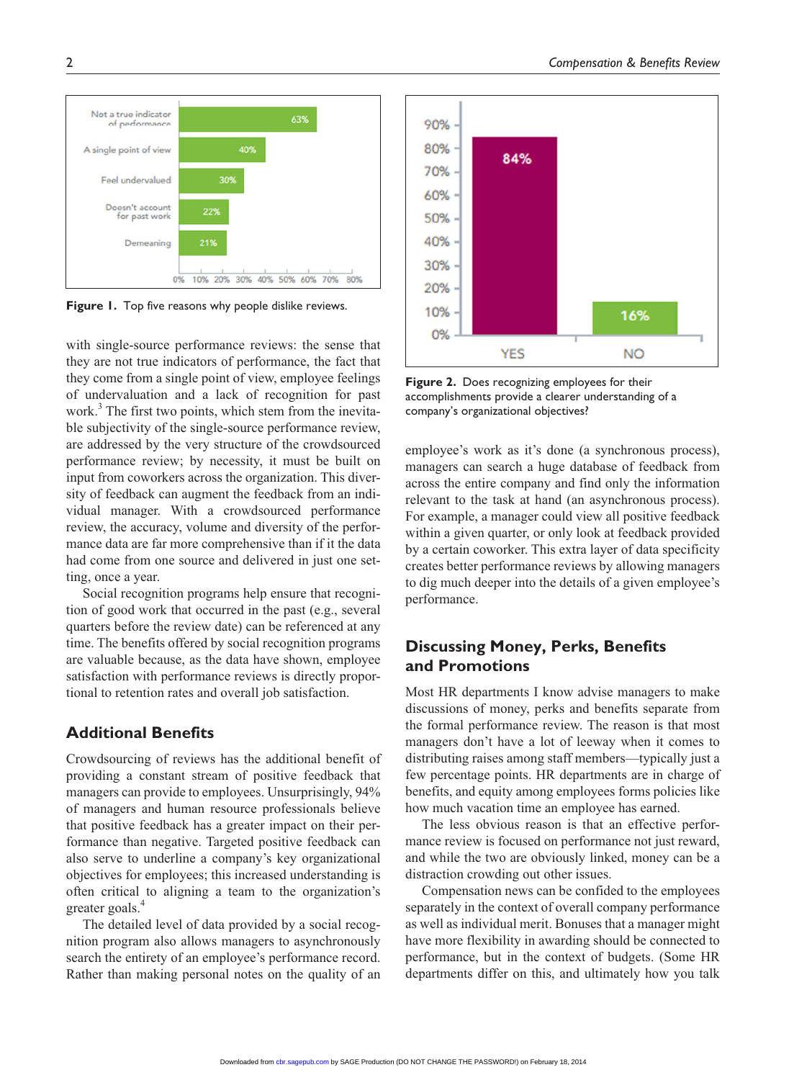with single-source performance reviews: the sense that they are not true indicators of performance, the fact that they come from a single point of view, employee feelings of undervaluation and a lack of recognition for past work.<sup>3</sup> The first two points, which stem from the inevitable subjectivity of the single-source performance review, are addressed by the very structure of the crowdsourced performance review; by necessity, it must be built on input from coworkers across the organization. This diversity of feedback can augment the feedback from an individual manager. With a crowdsourced performance review, the accuracy, volume and diversity of the performance data are far more comprehensive than if it the data had come from one source and delivered in just one setting, once a year.

Social recognition programs help ensure that recognition of good work that occurred in the past (e.g., several quarters before the review date) can be referenced at any time. The benefits offered by social recognition programs are valuable because, as the data have shown, employee satisfaction with performance reviews is directly proportional to retention rates and overall job satisfaction.

## **Additional Benefits**

Crowdsourcing of reviews has the additional benefit of providing a constant stream of positive feedback that managers can provide to employees. Unsurprisingly, 94% of managers and human resource professionals believe that positive feedback has a greater impact on their performance than negative. Targeted positive feedback can also serve to underline a company's key organizational objectives for employees; this increased understanding is often critical to aligning a team to the organization's greater goals.4

The detailed level of data provided by a social recognition program also allows managers to asynchronously search the entirety of an employee's performance record. Rather than making personal notes on the quality of an employee's work as it's done (a synchronous process), managers can search a huge database of feedback from across the entire company and find only the information relevant to the task at hand (an asynchronous process). For example, a manager could view all positive feedback within a given quarter, or only look at feedback provided by a certain coworker. This extra layer of data specificity creates better performance reviews by allowing managers

**Figure 2.** Does recognizing employees for their accomplishments provide a clearer understanding of a company's organizational objectives?

**YES** 

84%

90%

80%

70%

60%

50% 40%

30%

20% 10%

0%

to dig much deeper into the details of a given employee's performance.

## **Discussing Money, Perks, Benefits and Promotions**

Most HR departments I know advise managers to make discussions of money, perks and benefits separate from the formal performance review. The reason is that most managers don't have a lot of leeway when it comes to distributing raises among staff members—typically just a few percentage points. HR departments are in charge of benefits, and equity among employees forms policies like how much vacation time an employee has earned.

The less obvious reason is that an effective performance review is focused on performance not just reward, and while the two are obviously linked, money can be a distraction crowding out other issues.

Compensation news can be confided to the employees separately in the context of overall company performance as well as individual merit. Bonuses that a manager might have more flexibility in awarding should be connected to performance, but in the context of budgets. (Some HR departments differ on this, and ultimately how you talk

16%

**NO** 



Figure 1. Top five reasons why people dislike reviews.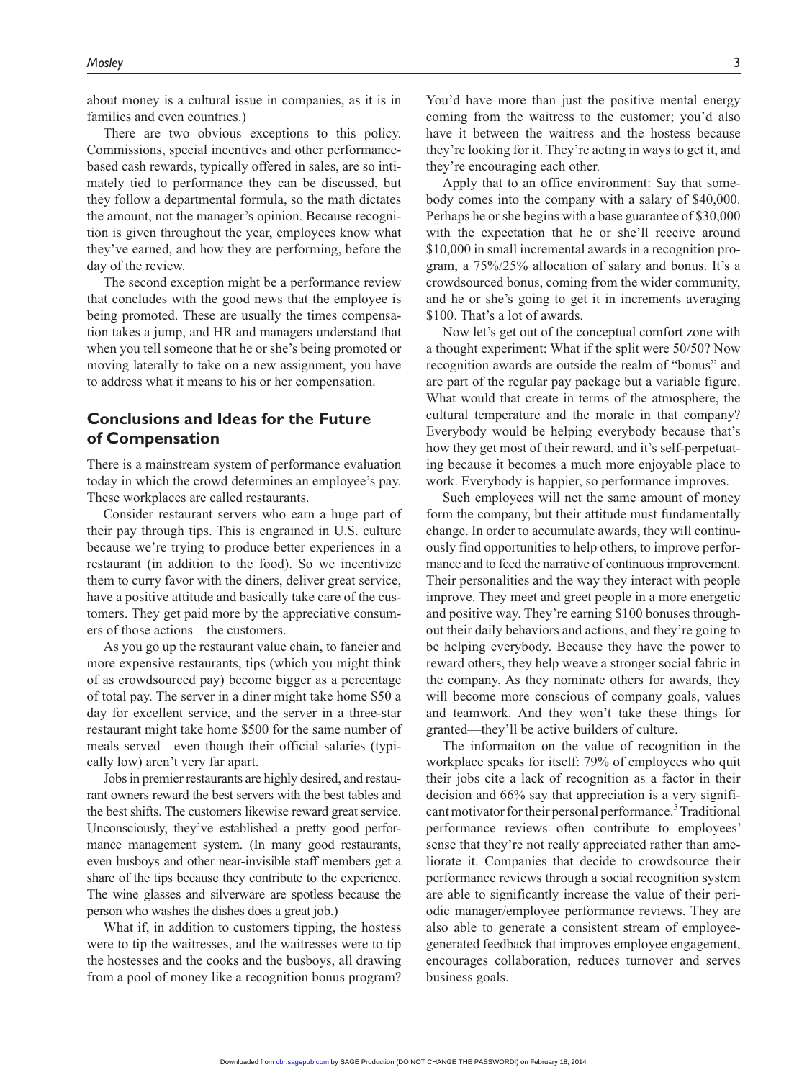about money is a cultural issue in companies, as it is in families and even countries.)

There are two obvious exceptions to this policy. Commissions, special incentives and other performancebased cash rewards, typically offered in sales, are so intimately tied to performance they can be discussed, but they follow a departmental formula, so the math dictates the amount, not the manager's opinion. Because recognition is given throughout the year, employees know what they've earned, and how they are performing, before the day of the review.

The second exception might be a performance review that concludes with the good news that the employee is being promoted. These are usually the times compensation takes a jump, and HR and managers understand that when you tell someone that he or she's being promoted or moving laterally to take on a new assignment, you have to address what it means to his or her compensation.

## **Conclusions and Ideas for the Future of Compensation**

There is a mainstream system of performance evaluation today in which the crowd determines an employee's pay. These workplaces are called restaurants.

Consider restaurant servers who earn a huge part of their pay through tips. This is engrained in U.S. culture because we're trying to produce better experiences in a restaurant (in addition to the food). So we incentivize them to curry favor with the diners, deliver great service, have a positive attitude and basically take care of the customers. They get paid more by the appreciative consumers of those actions—the customers.

As you go up the restaurant value chain, to fancier and more expensive restaurants, tips (which you might think of as crowdsourced pay) become bigger as a percentage of total pay. The server in a diner might take home \$50 a day for excellent service, and the server in a three-star restaurant might take home \$500 for the same number of meals served—even though their official salaries (typically low) aren't very far apart.

Jobs in premier restaurants are highly desired, and restaurant owners reward the best servers with the best tables and the best shifts. The customers likewise reward great service. Unconsciously, they've established a pretty good performance management system. (In many good restaurants, even busboys and other near-invisible staff members get a share of the tips because they contribute to the experience. The wine glasses and silverware are spotless because the person who washes the dishes does a great job.)

What if, in addition to customers tipping, the hostess were to tip the waitresses, and the waitresses were to tip the hostesses and the cooks and the busboys, all drawing from a pool of money like a recognition bonus program?

You'd have more than just the positive mental energy coming from the waitress to the customer; you'd also have it between the waitress and the hostess because they're looking for it. They're acting in ways to get it, and they're encouraging each other.

Apply that to an office environment: Say that somebody comes into the company with a salary of \$40,000. Perhaps he or she begins with a base guarantee of \$30,000 with the expectation that he or she'll receive around \$10,000 in small incremental awards in a recognition program, a 75%/25% allocation of salary and bonus. It's a crowdsourced bonus, coming from the wider community, and he or she's going to get it in increments averaging \$100. That's a lot of awards.

Now let's get out of the conceptual comfort zone with a thought experiment: What if the split were 50/50? Now recognition awards are outside the realm of "bonus" and are part of the regular pay package but a variable figure. What would that create in terms of the atmosphere, the cultural temperature and the morale in that company? Everybody would be helping everybody because that's how they get most of their reward, and it's self-perpetuating because it becomes a much more enjoyable place to work. Everybody is happier, so performance improves.

Such employees will net the same amount of money form the company, but their attitude must fundamentally change. In order to accumulate awards, they will continuously find opportunities to help others, to improve performance and to feed the narrative of continuous improvement. Their personalities and the way they interact with people improve. They meet and greet people in a more energetic and positive way. They're earning \$100 bonuses throughout their daily behaviors and actions, and they're going to be helping everybody. Because they have the power to reward others, they help weave a stronger social fabric in the company. As they nominate others for awards, they will become more conscious of company goals, values and teamwork. And they won't take these things for granted—they'll be active builders of culture.

The informaiton on the value of recognition in the workplace speaks for itself: 79% of employees who quit their jobs cite a lack of recognition as a factor in their decision and 66% say that appreciation is a very significant motivator for their personal performance.<sup>5</sup> Traditional performance reviews often contribute to employees' sense that they're not really appreciated rather than ameliorate it. Companies that decide to crowdsource their performance reviews through a social recognition system are able to significantly increase the value of their periodic manager/employee performance reviews. They are also able to generate a consistent stream of employeegenerated feedback that improves employee engagement, encourages collaboration, reduces turnover and serves business goals.